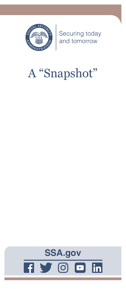

Securing today<br>and tomorrow

# A "Snapshot"

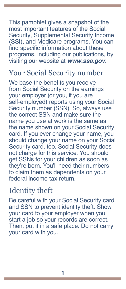This pamphlet gives a snapshot of the most important features of the Social Security, Supplemental Security Income (SSI), and Medicare programs. You can find specific information about these programs, including our publications, by visiting our website at *[www.ssa.gov](https://www.ssa.gov)*.

#### Your Social Security number

We base the benefits you receive from Social Security on the earnings your employer (or you, if you are self-employed) reports using your Social Security number (SSN). So, always use the correct SSN and make sure the name you use at work is the same as the name shown on your Social Security card. If you ever change your name, you should change your name on your Social Security card, too. Social Security does not charge for this service. You should get SSNs for your children as soon as they're born. You'll need their numbers to claim them as dependents on your federal income tax return.

# Identity theft

Be careful with your Social Security card and SSN to prevent identity theft. Show your card to your employer when you start a job so your records are correct. Then, put it in a safe place. Do not carry your card with you.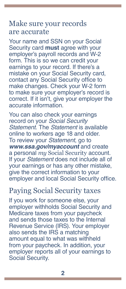#### Make sure your records are accurate

Your name and SSN on your Social Security card **must** agree with your employer's payroll records and W-2 form. This is so we can credit your earnings to your record. If there's a mistake on your Social Security card, contact any Social Security office to make changes. Check your W-2 form to make sure your employer's record is correct. If it isn't, give your employer the accurate information.

You can also check your earnings record on your *Social Security Statement*. The *Statement* is available online to workers age 18 and older. To review your *Statement*, go to *[www.ssa.gov/myaccount](https://www.ssa.gov/myaccount)* and create a personal *my* Social Security account. If your *Statement* does not include all of your earnings or has any other mistake, give the correct information to your employer and local Social Security office.

# Paying Social Security taxes

If you work for someone else, your employer withholds Social Security and Medicare taxes from your paycheck and sends those taxes to the Internal Revenue Service (IRS). Your employer also sends the IRS a matching amount equal to what was withheld from your paycheck. In addition, your employer reports all of your earnings to Social Security.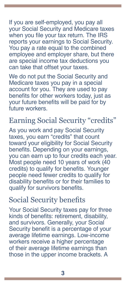If you are self-employed, you pay all your Social Security and Medicare taxes when you file your tax return. The IRS reports your earnings to Social Security. You pay a rate equal to the combined employee and employer share, but there are special income tax deductions you can take that offset your taxes.

We do not put the Social Security and Medicare taxes you pay in a special account for you. They are used to pay benefits for other workers today, just as your future benefits will be paid for by future workers.

# Earning Social Security "credits"

As you work and pay Social Security taxes, you earn "credits" that count toward your eligibility for Social Security benefits. Depending on your earnings, you can earn up to four credits each year. Most people need 10 years of work (40 credits) to qualify for benefits. Younger people need fewer credits to qualify for disability benefits or for their families to qualify for survivors benefits.

# Social Security benefits

Your Social Security taxes pay for three kinds of benefits: retirement, disability, and survivors. Generally, your Social Security benefit is a percentage of your average lifetime earnings. Low-income workers receive a higher percentage of their average lifetime earnings than those in the upper income brackets. A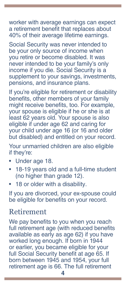worker with average earnings can expect a retirement benefit that replaces about 40% of their average lifetime earnings.

Social Security was never intended to be your only source of income when you retire or become disabled. It was never intended to be your family's only income if you die. Social Security is a supplement to your savings, investments, pensions, and insurance plans.

If you're eligible for retirement or disability benefits, other members of your family might receive benefits, too. For example, your spouse is eligible if he or she is at least 62 years old. Your spouse is also eligible if under age 62 and caring for your child under age 16 (or 16 and older but disabled) and entitled on your record.

Your unmarried children are also eligible if they're:

- Under age 18.
- 18-19 years old and a full-time student (no higher than grade 12).
- 18 or older with a disability.

If you are divorced, your ex-spouse could be eligible for benefits on your record.

#### Retirement

We pay benefits to you when you reach full retirement age (with reduced benefits available as early as age 62) if you have worked long enough. If born in 1944 or earlier, you became eligible for your full Social Security benefit at age 65. If born between 1945 and 1954, your full retirement age is 66. The full retirement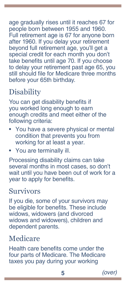age gradually rises until it reaches 67 for people born between 1955 and 1960. Full retirement age is 67 for anyone born after 1960. If you delay your retirement beyond full retirement age, you'll get a special credit for each month you don't take benefits until age 70. If you choose to delay your retirement past age 65, you still should file for Medicare three months before your 65th birthday.

# **Disability**

You can get disability benefits if you worked long enough to earn enough credits and meet either of the following criteria:

- You have a severe physical or mental condition that prevents you from working for at least a year.
- You are terminally ill.

Processing disability claims can take several months in most cases, so don't wait until you have been out of work for a year to apply for benefits.

# Survivors

If you die, some of your survivors may be eligible for benefits. These include widows, widowers (and divorced widows and widowers), children and dependent parents.

# Medicare

Health care benefits come under the four parts of Medicare. The Medicare taxes you pay during your working

**5** *(over)*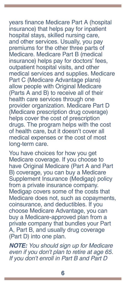years finance Medicare Part A (hospital insurance) that helps pay for inpatient hospital stays, skilled nursing care, and other services. Usually, you pay premiums for the other three parts of Medicare. Medicare Part B (medical insurance) helps pay for doctors' fees, outpatient hospital visits, and other medical services and supplies. Medicare Part C (Medicare Advantage plans) allow people with Original Medicare (Parts A and B) to receive all of their health care services through one provider organization. Medicare Part D (Medicare prescription drug coverage) helps cover the cost of prescription drugs. The program helps with the cost of health care, but it doesn't cover all medical expenses or the cost of most long-term care.

You have choices for how you get Medicare coverage. If you choose to have Original Medicare (Part A and Part B) coverage, you can buy a Medicare Supplement Insurance (Medigap) policy from a private insurance company. Medigap covers some of the costs that Medicare does not, such as copayments, coinsurance, and deductibles. If you choose Medicare Advantage, you can buy a Medicare-approved plan from a private company that bundles your Part A, Part B, and usually drug coverage (Part D) into one plan.

*NOTE: You should sign up for Medicare even if you don't plan to retire at age 65. If you don't enroll in Part B and Part D*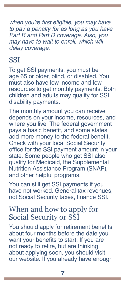when you're first eligible, you may have *to pay a penalty for as long as you have*  Part B and Part D coverage. Also, you may have to wait to enroll, which will *delay coverage.*

#### **SSI**

To get SSI payments, you must be age 65 or older, blind, or disabled. You must also have low income and few resources to get monthly payments. Both children and adults may qualify for SSI disability payments.

The monthly amount you can receive depends on your income, resources, and where you live. The federal government pays a basic benefit, and some states add more money to the federal benefit. Check with your local Social Security office for the SSI payment amount in your state. Some people who get SSI also qualify for Medicaid, the Supplemental Nutrition Assistance Program (SNAP), and other helpful programs.

You can still get SSI payments if you have not worked. General tax revenues, not Social Security taxes, finance SSI.

#### When and how to apply for Social Security or SSI

You should apply for retirement benefits about four months before the date you want your benefits to start. If you are not ready to retire, but are thinking about applying soon, you should visit our website. If you already have enough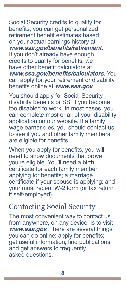Social Security credits to qualify for benefits, you can get personalized retirement benefit estimates based on your actual earnings history at **[www.ssa.gov/benefits/retirement](https://www.ssa.gov/benefits/retirement)**. If you don't already have enough credits to qualify for benefits, we have other benefit calculators at **[www.ssa.gov/benefits/calculators](https://www.ssa.gov/benefits/calculators)**. You can apply for your retirement or disability benefits online at *[www.ssa.gov](https://www.ssa.gov.)*.

You should apply for Social Security disability benefits or SSI if you become too disabled to work. In most cases, you can complete most or all of your disability application on our website. If a family wage earner dies, you should contact us to see if you and other family members are eligible for benefits.

When you apply for benefits, you will need to show documents that prove you're eligible. You'll need a birth certificate for each family member applying for benefits; a marriage certificate if your spouse is applying; and your most recent W-2 form (or tax return if self-employed).

#### Contacting Social Security

The most convenient way to contact us from anywhere, on any device, is to visit *[www.ssa.gov](https://www.ssa.gov)*. There are several things you can do online: apply for benefits; get useful information; find [publications](https://www.ssa.gov/pubs/); and get answers to [frequently](https://faq.ssa.gov/)  [asked questions](https://faq.ssa.gov/).